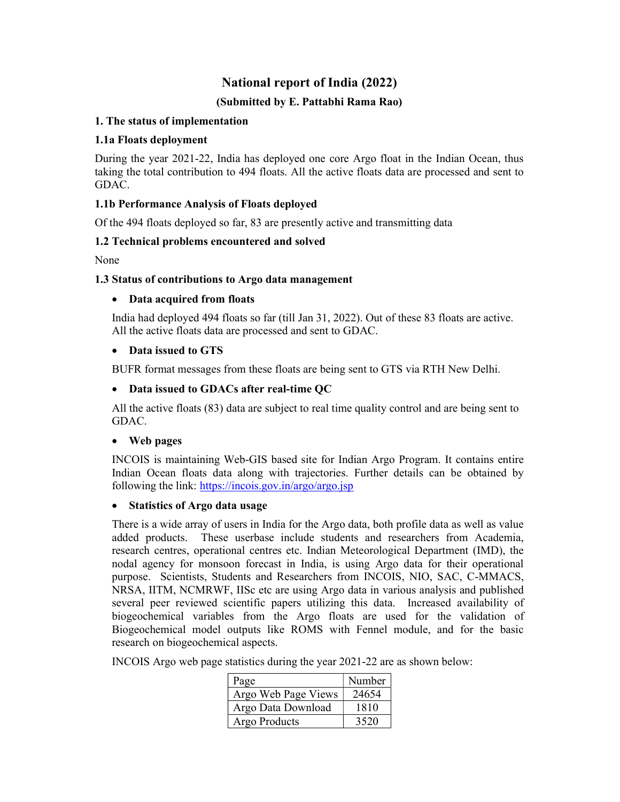# National report of India (2022)

# (Submitted by E. Pattabhi Rama Rao)

### 1. The status of implementation

### 1.1a Floats deployment

During the year 2021-22, India has deployed one core Argo float in the Indian Ocean, thus taking the total contribution to 494 floats. All the active floats data are processed and sent to GDAC.

# 1.1b Performance Analysis of Floats deployed

Of the 494 floats deployed so far, 83 are presently active and transmitting data

### 1.2 Technical problems encountered and solved

None

### 1.3 Status of contributions to Argo data management

### Data acquired from floats

India had deployed 494 floats so far (till Jan 31, 2022). Out of these 83 floats are active. All the active floats data are processed and sent to GDAC.

### • Data issued to GTS

BUFR format messages from these floats are being sent to GTS via RTH New Delhi.

### Data issued to GDACs after real-time QC

All the active floats (83) data are subject to real time quality control and are being sent to GDAC.

#### Web pages

INCOIS is maintaining Web-GIS based site for Indian Argo Program. It contains entire Indian Ocean floats data along with trajectories. Further details can be obtained by following the link: https://incois.gov.in/argo/argo.jsp

#### Statistics of Argo data usage

There is a wide array of users in India for the Argo data, both profile data as well as value added products. These userbase include students and researchers from Academia, research centres, operational centres etc. Indian Meteorological Department (IMD), the nodal agency for monsoon forecast in India, is using Argo data for their operational purpose. Scientists, Students and Researchers from INCOIS, NIO, SAC, C-MMACS, NRSA, IITM, NCMRWF, IISc etc are using Argo data in various analysis and published several peer reviewed scientific papers utilizing this data. Increased availability of biogeochemical variables from the Argo floats are used for the validation of Biogeochemical model outputs like ROMS with Fennel module, and for the basic research on biogeochemical aspects.

INCOIS Argo web page statistics during the year 2021-22 are as shown below:

| Page                | Number |
|---------------------|--------|
| Argo Web Page Views | 24654  |
| Argo Data Download  | 1810   |
| Argo Products       | 3520   |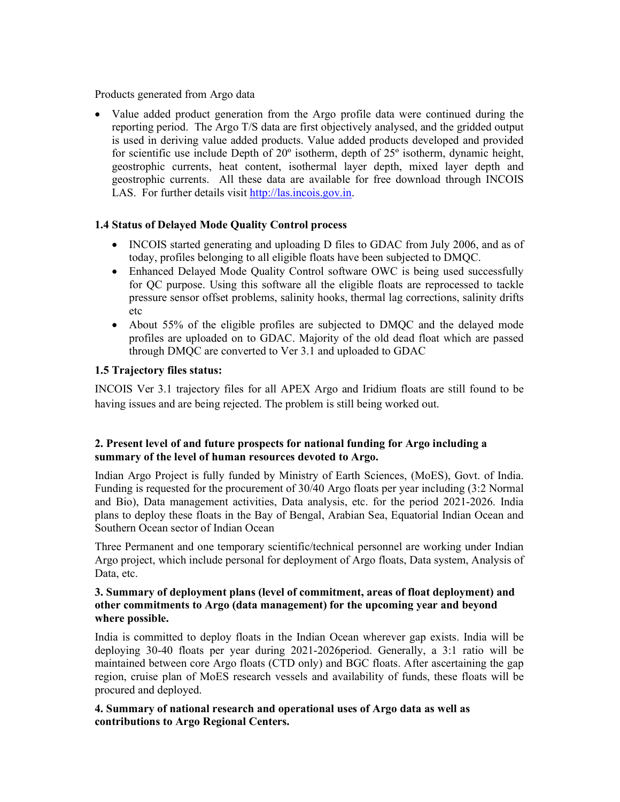Products generated from Argo data

 Value added product generation from the Argo profile data were continued during the reporting period. The Argo T/S data are first objectively analysed, and the gridded output is used in deriving value added products. Value added products developed and provided for scientific use include Depth of 20º isotherm, depth of 25º isotherm, dynamic height, geostrophic currents, heat content, isothermal layer depth, mixed layer depth and geostrophic currents. All these data are available for free download through INCOIS LAS. For further details visit http://las.incois.gov.in.

# 1.4 Status of Delayed Mode Quality Control process

- INCOIS started generating and uploading D files to GDAC from July 2006, and as of today, profiles belonging to all eligible floats have been subjected to DMQC.
- Enhanced Delayed Mode Quality Control software OWC is being used successfully for QC purpose. Using this software all the eligible floats are reprocessed to tackle pressure sensor offset problems, salinity hooks, thermal lag corrections, salinity drifts etc
- About 55% of the eligible profiles are subjected to DMQC and the delayed mode profiles are uploaded on to GDAC. Majority of the old dead float which are passed through DMQC are converted to Ver 3.1 and uploaded to GDAC

### 1.5 Trajectory files status:

INCOIS Ver 3.1 trajectory files for all APEX Argo and Iridium floats are still found to be having issues and are being rejected. The problem is still being worked out.

# 2. Present level of and future prospects for national funding for Argo including a summary of the level of human resources devoted to Argo.

Indian Argo Project is fully funded by Ministry of Earth Sciences, (MoES), Govt. of India. Funding is requested for the procurement of 30/40 Argo floats per year including (3:2 Normal and Bio), Data management activities, Data analysis, etc. for the period 2021-2026. India plans to deploy these floats in the Bay of Bengal, Arabian Sea, Equatorial Indian Ocean and Southern Ocean sector of Indian Ocean

Three Permanent and one temporary scientific/technical personnel are working under Indian Argo project, which include personal for deployment of Argo floats, Data system, Analysis of Data, etc.

#### 3. Summary of deployment plans (level of commitment, areas of float deployment) and other commitments to Argo (data management) for the upcoming year and beyond where possible.

India is committed to deploy floats in the Indian Ocean wherever gap exists. India will be deploying 30-40 floats per year during 2021-2026period. Generally, a 3:1 ratio will be maintained between core Argo floats (CTD only) and BGC floats. After ascertaining the gap region, cruise plan of MoES research vessels and availability of funds, these floats will be procured and deployed.

### 4. Summary of national research and operational uses of Argo data as well as contributions to Argo Regional Centers.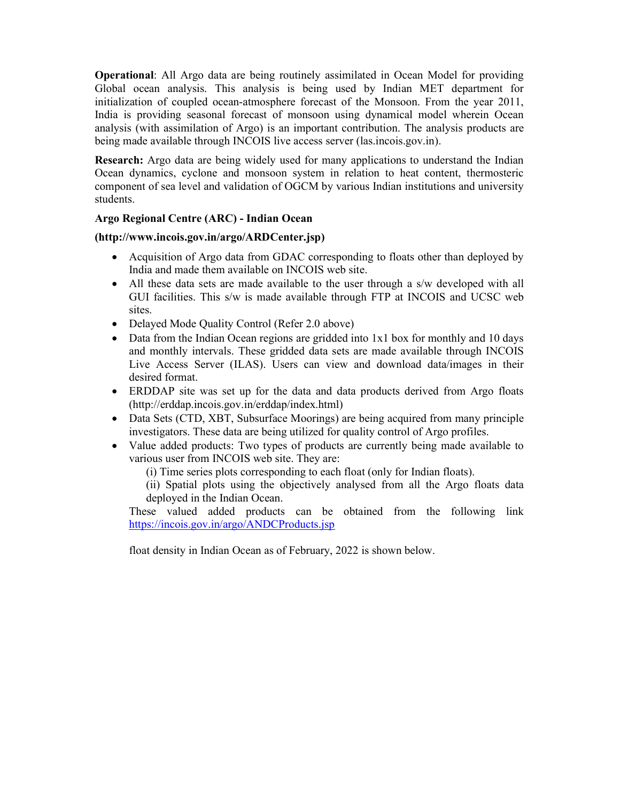Operational: All Argo data are being routinely assimilated in Ocean Model for providing Global ocean analysis. This analysis is being used by Indian MET department for initialization of coupled ocean-atmosphere forecast of the Monsoon. From the year 2011, India is providing seasonal forecast of monsoon using dynamical model wherein Ocean analysis (with assimilation of Argo) is an important contribution. The analysis products are being made available through INCOIS live access server (las.incois.gov.in).

**Research:** Argo data are being widely used for many applications to understand the Indian Ocean dynamics, cyclone and monsoon system in relation to heat content, thermosteric component of sea level and validation of OGCM by various Indian institutions and university students.

# Argo Regional Centre (ARC) - Indian Ocean

### (http://www.incois.gov.in/argo/ARDCenter.jsp)

- Acquisition of Argo data from GDAC corresponding to floats other than deployed by India and made them available on INCOIS web site.
- All these data sets are made available to the user through a s/w developed with all GUI facilities. This s/w is made available through FTP at INCOIS and UCSC web sites.
- Delayed Mode Quality Control (Refer 2.0 above)
- Data from the Indian Ocean regions are gridded into 1x1 box for monthly and 10 days and monthly intervals. These gridded data sets are made available through INCOIS Live Access Server (ILAS). Users can view and download data/images in their desired format.
- ERDDAP site was set up for the data and data products derived from Argo floats (http://erddap.incois.gov.in/erddap/index.html)
- Data Sets (CTD, XBT, Subsurface Moorings) are being acquired from many principle investigators. These data are being utilized for quality control of Argo profiles.
- Value added products: Two types of products are currently being made available to various user from INCOIS web site. They are:

(i) Time series plots corresponding to each float (only for Indian floats).

(ii) Spatial plots using the objectively analysed from all the Argo floats data deployed in the Indian Ocean.

These valued added products can be obtained from the following link https://incois.gov.in/argo/ANDCProducts.jsp

float density in Indian Ocean as of February, 2022 is shown below.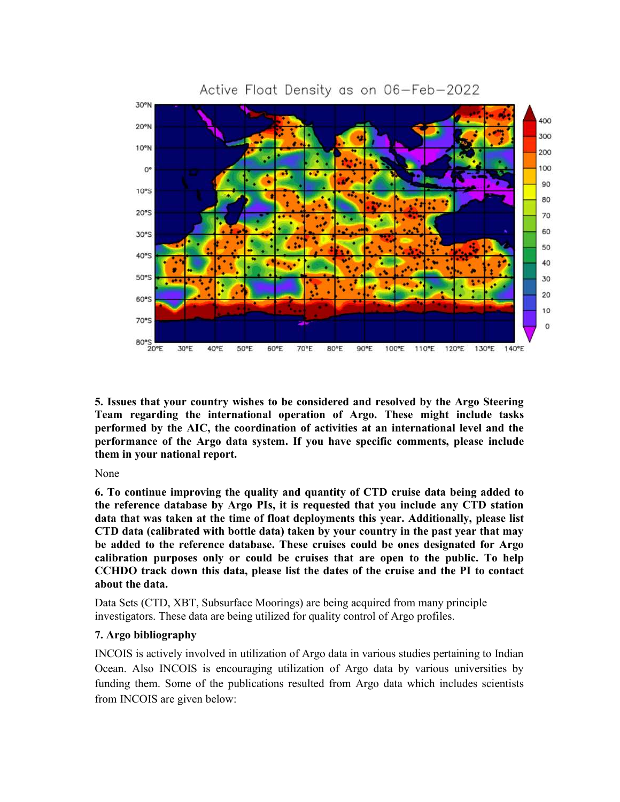

Active Float Density as on 06-Feb-2022

5. Issues that your country wishes to be considered and resolved by the Argo Steering Team regarding the international operation of Argo. These might include tasks performed by the AIC, the coordination of activities at an international level and the performance of the Argo data system. If you have specific comments, please include them in your national report.

None

6. To continue improving the quality and quantity of CTD cruise data being added to the reference database by Argo PIs, it is requested that you include any CTD station data that was taken at the time of float deployments this year. Additionally, please list CTD data (calibrated with bottle data) taken by your country in the past year that may be added to the reference database. These cruises could be ones designated for Argo calibration purposes only or could be cruises that are open to the public. To help CCHDO track down this data, please list the dates of the cruise and the PI to contact about the data.

Data Sets (CTD, XBT, Subsurface Moorings) are being acquired from many principle investigators. These data are being utilized for quality control of Argo profiles.

#### 7. Argo bibliography

INCOIS is actively involved in utilization of Argo data in various studies pertaining to Indian Ocean. Also INCOIS is encouraging utilization of Argo data by various universities by funding them. Some of the publications resulted from Argo data which includes scientists from INCOIS are given below: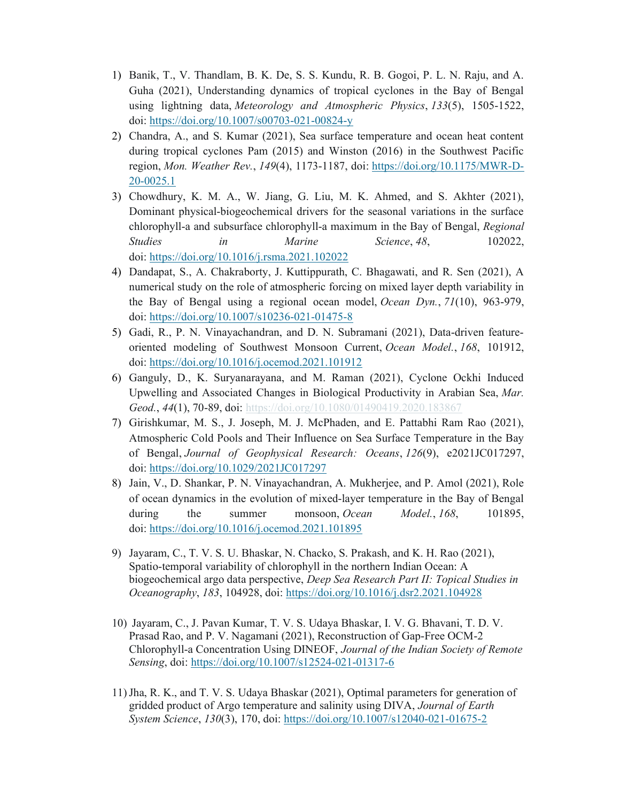- 1) Banik, T., V. Thandlam, B. K. De, S. S. Kundu, R. B. Gogoi, P. L. N. Raju, and A. Guha (2021), Understanding dynamics of tropical cyclones in the Bay of Bengal using lightning data, Meteorology and Atmospheric Physics, 133(5), 1505-1522, doi: https://doi.org/10.1007/s00703-021-00824-y
- 2) Chandra, A., and S. Kumar (2021), Sea surface temperature and ocean heat content during tropical cyclones Pam (2015) and Winston (2016) in the Southwest Pacific region, Mon. Weather Rev., 149(4), 1173-1187, doi: https://doi.org/10.1175/MWR-D-20-0025.1
- 3) Chowdhury, K. M. A., W. Jiang, G. Liu, M. K. Ahmed, and S. Akhter (2021), Dominant physical-biogeochemical drivers for the seasonal variations in the surface chlorophyll-a and subsurface chlorophyll-a maximum in the Bay of Bengal, Regional Studies in Marine Science, 48, 102022, doi: https://doi.org/10.1016/j.rsma.2021.102022
- 4) Dandapat, S., A. Chakraborty, J. Kuttippurath, C. Bhagawati, and R. Sen (2021), A numerical study on the role of atmospheric forcing on mixed layer depth variability in the Bay of Bengal using a regional ocean model, Ocean Dyn., 71(10), 963-979, doi: https://doi.org/10.1007/s10236-021-01475-8
- 5) Gadi, R., P. N. Vinayachandran, and D. N. Subramani (2021), Data-driven featureoriented modeling of Southwest Monsoon Current, Ocean Model., 168, 101912, doi: https://doi.org/10.1016/j.ocemod.2021.101912
- 6) Ganguly, D., K. Suryanarayana, and M. Raman (2021), Cyclone Ockhi Induced Upwelling and Associated Changes in Biological Productivity in Arabian Sea, Mar. Geod., 44(1), 70-89, doi: https://doi.org/10.1080/01490419.2020.183867
- 7) Girishkumar, M. S., J. Joseph, M. J. McPhaden, and E. Pattabhi Ram Rao (2021), Atmospheric Cold Pools and Their Influence on Sea Surface Temperature in the Bay of Bengal, Journal of Geophysical Research: Oceans, 126(9), e2021JC017297, doi: https://doi.org/10.1029/2021JC017297
- 8) Jain, V., D. Shankar, P. N. Vinayachandran, A. Mukherjee, and P. Amol (2021), Role of ocean dynamics in the evolution of mixed-layer temperature in the Bay of Bengal during the summer monsoon, Ocean Model., 168, 101895, doi: https://doi.org/10.1016/j.ocemod.2021.101895
- 9) Jayaram, C., T. V. S. U. Bhaskar, N. Chacko, S. Prakash, and K. H. Rao (2021), Spatio-temporal variability of chlorophyll in the northern Indian Ocean: A biogeochemical argo data perspective, Deep Sea Research Part II: Topical Studies in Oceanography, 183, 104928, doi: https://doi.org/10.1016/j.dsr2.2021.104928
- 10) Jayaram, C., J. Pavan Kumar, T. V. S. Udaya Bhaskar, I. V. G. Bhavani, T. D. V. Prasad Rao, and P. V. Nagamani (2021), Reconstruction of Gap-Free OCM-2 Chlorophyll-a Concentration Using DINEOF, Journal of the Indian Society of Remote Sensing, doi: https://doi.org/10.1007/s12524-021-01317-6
- 11)Jha, R. K., and T. V. S. Udaya Bhaskar (2021), Optimal parameters for generation of gridded product of Argo temperature and salinity using DIVA, Journal of Earth System Science, 130(3), 170, doi: https://doi.org/10.1007/s12040-021-01675-2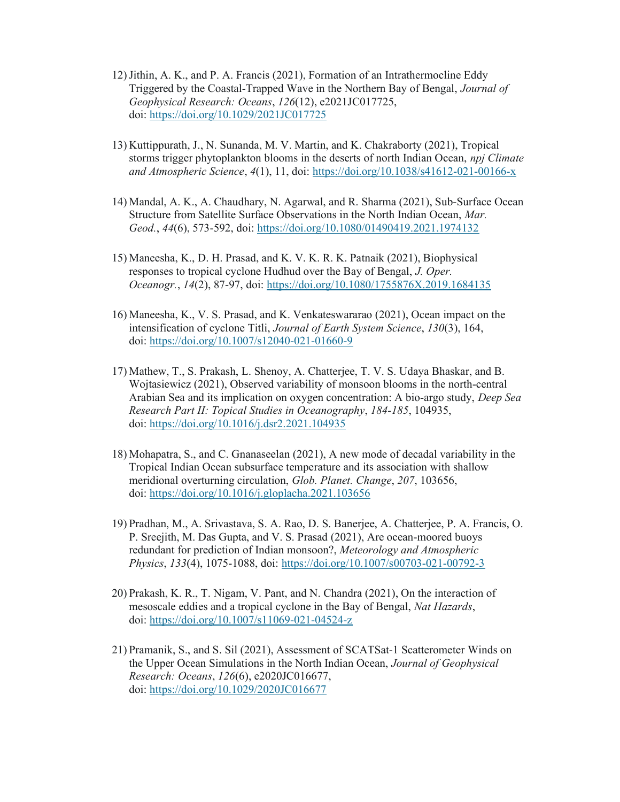- 12)Jithin, A. K., and P. A. Francis (2021), Formation of an Intrathermocline Eddy Triggered by the Coastal-Trapped Wave in the Northern Bay of Bengal, Journal of Geophysical Research: Oceans, 126(12), e2021JC017725, doi: https://doi.org/10.1029/2021JC017725
- 13) Kuttippurath, J., N. Sunanda, M. V. Martin, and K. Chakraborty (2021), Tropical storms trigger phytoplankton blooms in the deserts of north Indian Ocean, *npj Climate* and Atmospheric Science, 4(1), 11, doi: https://doi.org/10.1038/s41612-021-00166-x
- 14) Mandal, A. K., A. Chaudhary, N. Agarwal, and R. Sharma (2021), Sub-Surface Ocean Structure from Satellite Surface Observations in the North Indian Ocean, Mar. Geod., 44(6), 573-592, doi: https://doi.org/10.1080/01490419.2021.1974132
- 15) Maneesha, K., D. H. Prasad, and K. V. K. R. K. Patnaik (2021), Biophysical responses to tropical cyclone Hudhud over the Bay of Bengal, J. Oper. Oceanogr., 14(2), 87-97, doi: https://doi.org/10.1080/1755876X.2019.1684135
- 16) Maneesha, K., V. S. Prasad, and K. Venkateswararao (2021), Ocean impact on the intensification of cyclone Titli, Journal of Earth System Science, 130(3), 164, doi: https://doi.org/10.1007/s12040-021-01660-9
- 17) Mathew, T., S. Prakash, L. Shenoy, A. Chatterjee, T. V. S. Udaya Bhaskar, and B. Wojtasiewicz (2021), Observed variability of monsoon blooms in the north-central Arabian Sea and its implication on oxygen concentration: A bio-argo study, Deep Sea Research Part II: Topical Studies in Oceanography, 184-185, 104935, doi: https://doi.org/10.1016/j.dsr2.2021.104935
- 18) Mohapatra, S., and C. Gnanaseelan (2021), A new mode of decadal variability in the Tropical Indian Ocean subsurface temperature and its association with shallow meridional overturning circulation, Glob. Planet. Change, 207, 103656, doi: https://doi.org/10.1016/j.gloplacha.2021.103656
- 19) Pradhan, M., A. Srivastava, S. A. Rao, D. S. Banerjee, A. Chatterjee, P. A. Francis, O. P. Sreejith, M. Das Gupta, and V. S. Prasad (2021), Are ocean-moored buoys redundant for prediction of Indian monsoon?, Meteorology and Atmospheric Physics, 133(4), 1075-1088, doi: https://doi.org/10.1007/s00703-021-00792-3
- 20) Prakash, K. R., T. Nigam, V. Pant, and N. Chandra (2021), On the interaction of mesoscale eddies and a tropical cyclone in the Bay of Bengal, Nat Hazards, doi: https://doi.org/10.1007/s11069-021-04524-z
- 21) Pramanik, S., and S. Sil (2021), Assessment of SCATSat-1 Scatterometer Winds on the Upper Ocean Simulations in the North Indian Ocean, Journal of Geophysical Research: Oceans, 126(6), e2020JC016677, doi: https://doi.org/10.1029/2020JC016677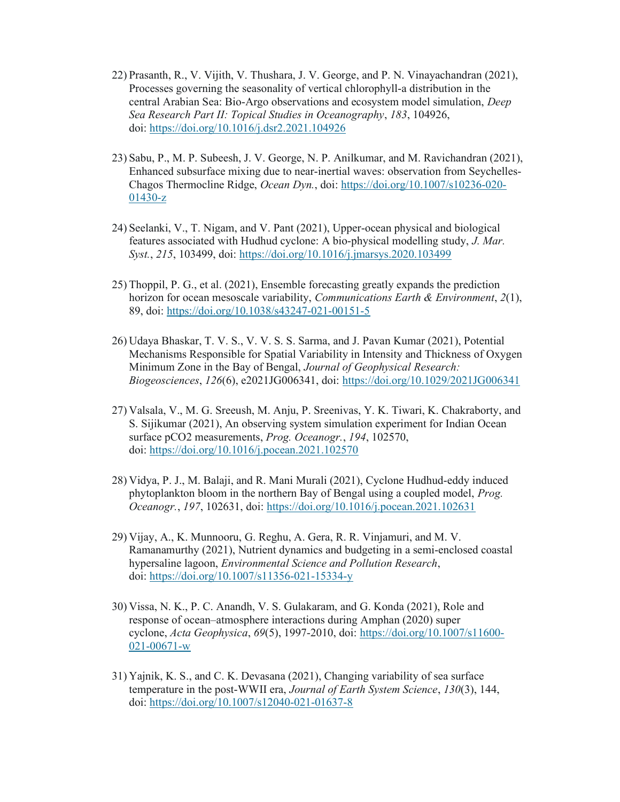- 22) Prasanth, R., V. Vijith, V. Thushara, J. V. George, and P. N. Vinayachandran (2021), Processes governing the seasonality of vertical chlorophyll-a distribution in the central Arabian Sea: Bio-Argo observations and ecosystem model simulation, Deep Sea Research Part II: Topical Studies in Oceanography, 183, 104926, doi: https://doi.org/10.1016/j.dsr2.2021.104926
- 23) Sabu, P., M. P. Subeesh, J. V. George, N. P. Anilkumar, and M. Ravichandran (2021), Enhanced subsurface mixing due to near-inertial waves: observation from Seychelles-Chagos Thermocline Ridge, Ocean Dyn., doi: https://doi.org/10.1007/s10236-020- 01430-z
- 24) Seelanki, V., T. Nigam, and V. Pant (2021), Upper-ocean physical and biological features associated with Hudhud cyclone: A bio-physical modelling study, J. Mar. Syst., 215, 103499, doi: https://doi.org/10.1016/j.jmarsys.2020.103499
- 25) Thoppil, P. G., et al. (2021), Ensemble forecasting greatly expands the prediction horizon for ocean mesoscale variability, *Communications Earth & Environment*,  $2(1)$ , 89, doi: https://doi.org/10.1038/s43247-021-00151-5
- 26) Udaya Bhaskar, T. V. S., V. V. S. S. Sarma, and J. Pavan Kumar (2021), Potential Mechanisms Responsible for Spatial Variability in Intensity and Thickness of Oxygen Minimum Zone in the Bay of Bengal, Journal of Geophysical Research: Biogeosciences, 126(6), e2021JG006341, doi: https://doi.org/10.1029/2021JG006341
- 27) Valsala, V., M. G. Sreeush, M. Anju, P. Sreenivas, Y. K. Tiwari, K. Chakraborty, and S. Sijikumar (2021), An observing system simulation experiment for Indian Ocean surface pCO2 measurements, *Prog. Oceanogr.*, 194, 102570, doi: https://doi.org/10.1016/j.pocean.2021.102570
- 28) Vidya, P. J., M. Balaji, and R. Mani Murali (2021), Cyclone Hudhud-eddy induced phytoplankton bloom in the northern Bay of Bengal using a coupled model, Prog. Oceanogr., 197, 102631, doi: https://doi.org/10.1016/j.pocean.2021.102631
- 29) Vijay, A., K. Munnooru, G. Reghu, A. Gera, R. R. Vinjamuri, and M. V. Ramanamurthy (2021), Nutrient dynamics and budgeting in a semi-enclosed coastal hypersaline lagoon, Environmental Science and Pollution Research, doi: https://doi.org/10.1007/s11356-021-15334-y
- 30) Vissa, N. K., P. C. Anandh, V. S. Gulakaram, and G. Konda (2021), Role and response of ocean–atmosphere interactions during Amphan (2020) super cyclone, Acta Geophysica, 69(5), 1997-2010, doi: https://doi.org/10.1007/s11600- 021-00671-w
- 31) Yajnik, K. S., and C. K. Devasana (2021), Changing variability of sea surface temperature in the post-WWII era, Journal of Earth System Science, 130(3), 144, doi: https://doi.org/10.1007/s12040-021-01637-8